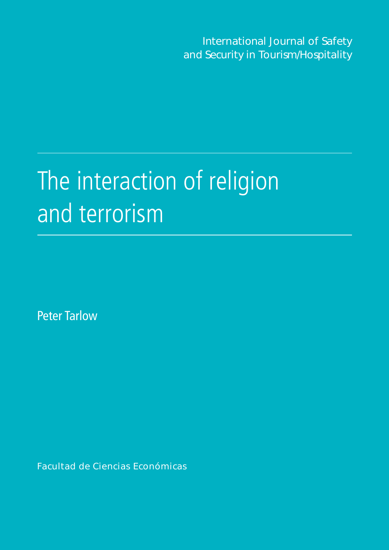International Journal of Safety and Security in Tourism/Hospitality

# The interaction of religion and terrorism

Peter Tarlow

Facultad de Ciencias Económicas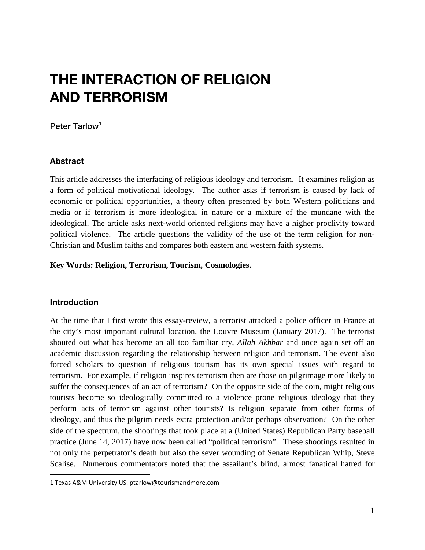# **THE INTERACTION OF RELIGION AND TERRORISM**

#### Peter Tarlow<sup>[1](#page-1-0)</sup>

#### **Abstract**

This article addresses the interfacing of religious ideology and terrorism. It examines religion as a form of political motivational ideology. The author asks if terrorism is caused by lack of economic or political opportunities, a theory often presented by both Western politicians and media or if terrorism is more ideological in nature or a mixture of the mundane with the ideological. The article asks next-world oriented religions may have a higher proclivity toward political violence. The article questions the validity of the use of the term religion for non-Christian and Muslim faiths and compares both eastern and western faith systems.

#### **Key Words: Religion, Terrorism, Tourism, Cosmologies.**

#### **Introduction**

At the time that I first wrote this essay-review, a terrorist attacked a police officer in France at the city's most important cultural location, the Louvre Museum (January 2017). The terrorist shouted out what has become an all too familiar cry, *Allah Akhbar* and once again set off an academic discussion regarding the relationship between religion and terrorism. The event also forced scholars to question if religious tourism has its own special issues with regard to terrorism. For example, if religion inspires terrorism then are those on pilgrimage more likely to suffer the consequences of an act of terrorism? On the opposite side of the coin, might religious tourists become so ideologically committed to a violence prone religious ideology that they perform acts of terrorism against other tourists? Is religion separate from other forms of ideology, and thus the pilgrim needs extra protection and/or perhaps observation? On the other side of the spectrum, the shootings that took place at a (United States) Republican Party baseball practice (June 14, 2017) have now been called "political terrorism". These shootings resulted in not only the perpetrator's death but also the sever wounding of Senate Republican Whip, Steve Scalise. Numerous commentators noted that the assailant's blind, almost fanatical hatred for

<span id="page-1-0"></span>i<br>I 1 Texas A&M University US. [ptarlow@tourismandmore.com](mailto:ptarlow@tourismandmore.com)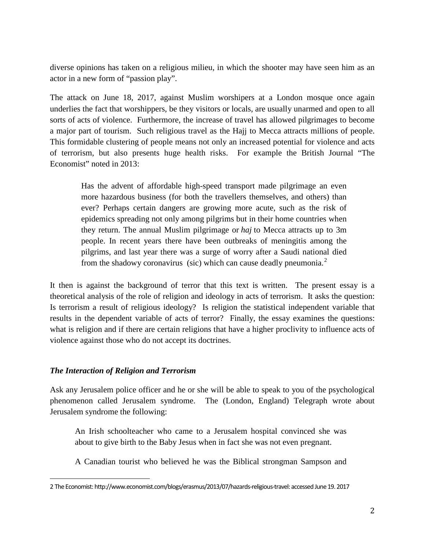diverse opinions has taken on a religious milieu, in which the shooter may have seen him as an actor in a new form of "passion play".

The attack on June 18, 2017, against Muslim worshipers at a London mosque once again underlies the fact that worshippers, be they visitors or locals, are usually unarmed and open to all sorts of acts of violence. Furthermore, the increase of travel has allowed pilgrimages to become a major part of tourism. Such religious travel as the Hajj to Mecca attracts millions of people. This formidable clustering of people means not only an increased potential for violence and acts of terrorism, but also presents huge health risks. For example the British Journal "The Economist" noted in 2013:

Has the advent of affordable high-speed transport made pilgrimage an even more hazardous business (for both the travellers themselves, and others) than ever? Perhaps certain dangers are growing more acute, such as the risk of epidemics spreading not only among pilgrims but in their home countries when they return. The annual Muslim pilgrimage or *haj* to Mecca attracts up to 3m people. In recent years there have been outbreaks of meningitis among the pilgrims, and last year there was a surge of worry after a Saudi national died from the shadowy coronavirus (sic) which can cause deadly pneumonia.<sup>[2](#page-2-0)</sup>

It then is against the background of terror that this text is written. The present essay is a theoretical analysis of the role of religion and ideology in acts of terrorism. It asks the question: Is terrorism a result of religious ideology? Is religion the statistical independent variable that results in the dependent variable of acts of terror? Finally, the essay examines the questions: what is religion and if there are certain religions that have a higher proclivity to influence acts of violence against those who do not accept its doctrines.

# *The Interaction of Religion and Terrorism*

Ask any Jerusalem police officer and he or she will be able to speak to you of the psychological phenomenon called Jerusalem syndrome. The (London, England) Telegraph wrote about Jerusalem syndrome the following:

An Irish schoolteacher who came to a Jerusalem hospital convinced she was about to give birth to the Baby Jesus when in fact she was not even pregnant.

A Canadian tourist who believed he was the Biblical strongman Sampson and

<span id="page-2-0"></span>I 2 The Economist[: http://www.economist.com/blogs/erasmus/2013/07/hazards-religious-travel:](http://www.economist.com/blogs/erasmus/2013/07/hazards-religious-travel) accessed June 19. 2017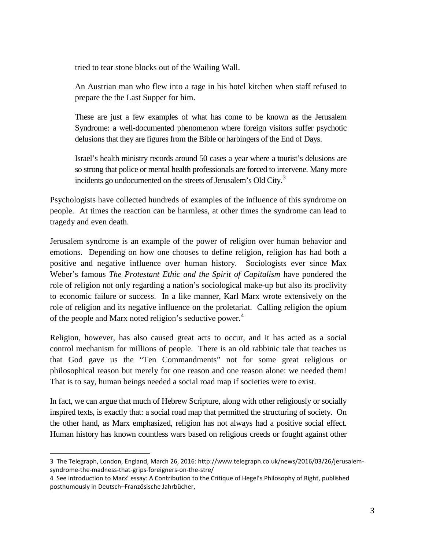tried to tear stone blocks out of the Wailing Wall.

An Austrian man who flew into a rage in his hotel kitchen when staff refused to prepare the the Last Supper for him.

These are just a few examples of what has come to be known as the Jerusalem Syndrome: a well-documented phenomenon where foreign visitors suffer psychotic delusions that they are figures from the Bible or harbingers of the End of Days.

Israel's health ministry records around 50 cases a year where a tourist's delusions are so strong that police or mental health professionals are forced to intervene. Many more incidents go undocumented on the streets of Jerusalem's Old City. $3$ 

Psychologists have collected hundreds of examples of the influence of this syndrome on people. At times the reaction can be harmless, at other times the syndrome can lead to tragedy and even death.

Jerusalem syndrome is an example of the power of religion over human behavior and emotions. Depending on how one chooses to define religion, religion has had both a positive and negative influence over human history. Sociologists ever since Max Weber's famous *The Protestant Ethic and the Spirit of Capitalism* have pondered the role of religion not only regarding a nation's sociological make-up but also its proclivity to economic failure or success. In a like manner, Karl Marx wrote extensively on the role of religion and its negative influence on the proletariat. Calling religion the opium of the people and Marx noted religion's seductive power.<sup>[4](#page-3-1)</sup>

Religion, however, has also caused great acts to occur, and it has acted as a social control mechanism for millions of people. There is an old rabbinic tale that teaches us that God gave us the "Ten Commandments" not for some great religious or philosophical reason but merely for one reason and one reason alone: we needed them! That is to say, human beings needed a social road map if societies were to exist.

In fact, we can argue that much of Hebrew Scripture, along with other religiously or socially inspired texts, is exactly that: a social road map that permitted the structuring of society. On the other hand, as Marx emphasized, religion has not always had a positive social effect. Human history has known countless wars based on religious creeds or fought against other

<span id="page-3-0"></span>i<br>I 3 The Telegraph, London, England, March 26, 2016: http://www.telegraph.co.uk/news/2016/03/26/jerusalemsyndrome-the-madness-that-grips-foreigners-on-the-stre/

<span id="page-3-1"></span><sup>4</sup> See introduction to Marx' essay: A Contribution to the Critique of Hegel's Philosophy of Right, published posthumously i[n Deutsch–Französische Jahrbücher,](https://en.wikipedia.org/wiki/Deutsch%E2%80%93Franz%C3%B6sische_Jahrb%C3%BCcher)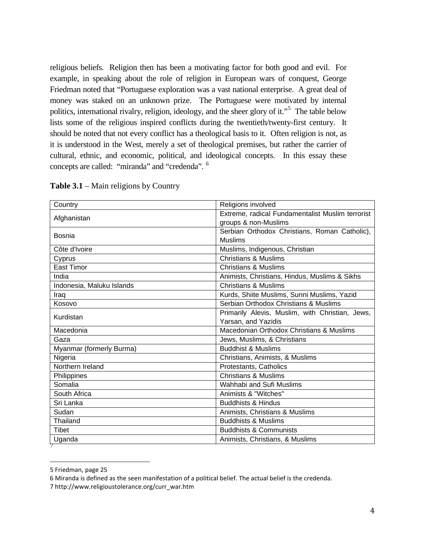religious beliefs. Religion then has been a motivating factor for both good and evil. For example, in speaking about the role of religion in European wars of conquest, George Friedman noted that "Portuguese exploration was a vast national enterprise. A great deal of money was staked on an unknown prize. The Portuguese were motivated by internal politics, international rivalry, religion, ideology, and the sheer glory of it."<sup>[5](#page-4-0)</sup> The table below lists some of the religious inspired conflicts during the twentieth/twenty-first century. It should be noted that not every conflict has a theological basis to it. Often religion is not, as it is understood in the West, merely a set of theological premises, but rather the carrier of cultural, ethnic, and economic, political, and ideological concepts. In this essay these concepts are called: "miranda" and "credenda". [6](#page-4-1)

| Country                   | Religions involved                               |  |
|---------------------------|--------------------------------------------------|--|
| Afghanistan               | Extreme, radical Fundamentalist Muslim terrorist |  |
|                           | groups & non-Muslims                             |  |
| Bosnia                    | Serbian Orthodox Christians, Roman Catholic),    |  |
|                           | <b>Muslims</b>                                   |  |
| Côte d'Ivoire             | Muslims, Indigenous, Christian                   |  |
| Cyprus                    | <b>Christians &amp; Muslims</b>                  |  |
| <b>East Timor</b>         | <b>Christians &amp; Muslims</b>                  |  |
| India                     | Animists, Christians, Hindus, Muslims & Sikhs    |  |
| Indonesia, Maluku Islands | <b>Christians &amp; Muslims</b>                  |  |
| Iraq                      | Kurds, Shiite Muslims, Sunni Muslims, Yazid      |  |
| Kosovo                    | Serbian Orthodox Christians & Muslims            |  |
| Kurdistan                 | Primarily Alevis, Muslim, with Christian, Jews,  |  |
|                           | Yarsan, and Yazidis                              |  |
| Macedonia                 | Macedonian Orthodox Christians & Muslims         |  |
| Gaza                      | Jews, Muslims, & Christians                      |  |
| Myanmar (formerly Burma)  | <b>Buddhist &amp; Muslims</b>                    |  |
| Nigeria                   | Christians, Animists, & Muslims                  |  |
| Northern Ireland          | Protestants, Catholics                           |  |
| Philippines               | Christians & Muslims                             |  |
| Somalia                   | Wahhabi and Sufi Muslims                         |  |
| South Africa              | Animists & "Witches"                             |  |
| Sri Lanka                 | <b>Buddhists &amp; Hindus</b>                    |  |
| Sudan                     | Animists, Christians & Muslims                   |  |
| Thailand                  | <b>Buddhists &amp; Muslims</b>                   |  |
| Tibet                     | <b>Buddhists &amp; Communists</b>                |  |
| Uganda                    | Animists, Christians, & Muslims                  |  |
|                           |                                                  |  |

**Table 3.1** – Main religions by Country

<span id="page-4-0"></span>I 5 Friedman, page 25

<span id="page-4-1"></span><sup>6</sup> Miranda is defined as the seen manifestation of a political belief. The actual belief is the credenda.

<span id="page-4-2"></span><sup>7</sup> http://www.religioustolerance.org/curr\_war.htm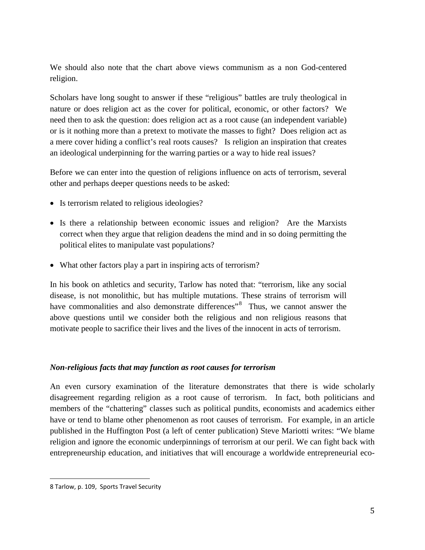We should also note that the chart above views communism as a non God-centered religion.

Scholars have long sought to answer if these "religious" battles are truly theological in nature or does religion act as the cover for political, economic, or other factors? We need then to ask the question: does religion act as a root cause (an independent variable) or is it nothing more than a pretext to motivate the masses to fight? Does religion act as a mere cover hiding a conflict's real roots causes? Is religion an inspiration that creates an ideological underpinning for the warring parties or a way to hide real issues?

Before we can enter into the question of religions influence on acts of terrorism, several other and perhaps deeper questions needs to be asked:

- Is terrorism related to religious ideologies?
- Is there a relationship between economic issues and religion? Are the Marxists correct when they argue that religion deadens the mind and in so doing permitting the political elites to manipulate vast populations?
- What other factors play a part in inspiring acts of terrorism?

In his book on athletics and security, Tarlow has noted that: "terrorism, like any social disease, is not monolithic, but has multiple mutations. These strains of terrorism will have commonalities and also demonstrate differences<sup>3[8](#page-5-0)</sup> Thus, we cannot answer the above questions until we consider both the religious and non religious reasons that motivate people to sacrifice their lives and the lives of the innocent in acts of terrorism.

# *Non-religious facts that may function as root causes for terrorism*

An even cursory examination of the literature demonstrates that there is wide scholarly disagreement regarding religion as a root cause of terrorism. In fact, both politicians and members of the "chattering" classes such as political pundits, economists and academics either have or tend to blame other phenomenon as root causes of terrorism. For example, in an article published in the Huffington Post (a left of center publication) Steve Mariotti writes: "We blame religion and ignore the economic underpinnings of terrorism at our peril. We can fight back with entrepreneurship education, and initiatives that will encourage a worldwide entrepreneurial eco-

<span id="page-5-0"></span>I 8 Tarlow, p. 109, Sports Travel Security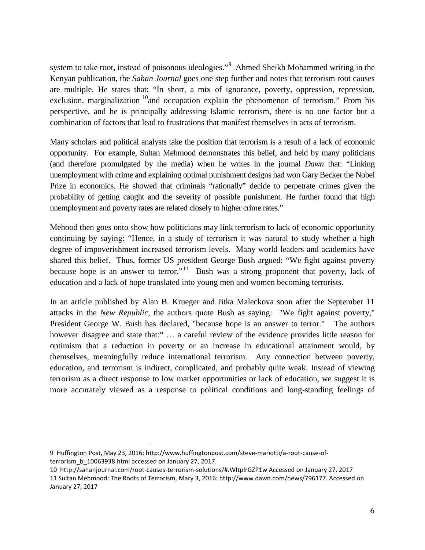system to take root, instead of poisonous ideologies."<sup>[9](#page-6-0)</sup> Ahmed Sheikh Mohammed writing in the Kenyan publication, the *Sahan Journal* goes one step further and notes that terrorism root causes are multiple. He states that: "In short, a mix of ignorance, poverty, oppression, repression, exclusion, marginalization  $10$  and occupation explain the phenomenon of terrorism." From his perspective, and he is principally addressing Islamic terrorism, there is no one factor but a combination of factors that lead to frustrations that manifest themselves in acts of terrorism.

Many scholars and political analysts take the position that terrorism is a result of a lack of economic opportunity. For example, Sultan Mehmood demonstrates this belief, and held by many politicians (and therefore promulgated by the media) when he writes in the journal *Dawn* that: "Linking unemployment with crime and explaining optimal punishment designs had won Gary Becker the Nobel Prize in economics. He showed that criminals "rationally" decide to perpetrate crimes given the probability of getting caught and the severity of possible punishment. He further found that high unemployment and poverty rates are related closely to higher crime rates."

Mehood then goes onto show how politicians may link terrorism to lack of economic opportunity continuing by saying: "Hence, in a study of terrorism it was natural to study whether a high degree of impoverishment increased terrorism levels. Many world leaders and academics have shared this belief. Thus, former US president George Bush argued: "We fight against poverty because hope is an answer to terror."<sup>11</sup> Bush was a strong proponent that poverty, lack of education and a lack of hope translated into young men and women becoming terrorists.

In an article published by Alan B. Krueger and Jitka Maleckova soon after the September 11 attacks in the *New Republic*, the authors quote Bush as saying: "We fight against poverty," President George W. Bush has declared, "because hope is an answer to terror." The authors however disagree and state that:" ... a careful review of the evidence provides little reason for optimism that a reduction in poverty or an increase in educational attainment would, by themselves, meaningfully reduce international terrorism. Any connection between poverty, education, and terrorism is indirect, complicated, and probably quite weak. Instead of viewing terrorism as a direct response to low market opportunities or lack of education, we suggest it is more accurately viewed as a response to political conditions and long-standing feelings of

<span id="page-6-0"></span>i<br>I 9 Huffington Post, May 23, 2016: [http://www.huffingtonpost.com/steve-mariotti/a-root-cause-of](http://www.huffingtonpost.com/steve-mariotti/a-root-cause-of-terrorism_b_10063938.html)[terrorism\\_b\\_10063938.html](http://www.huffingtonpost.com/steve-mariotti/a-root-cause-of-terrorism_b_10063938.html) accessed on January 27, 2017.

<span id="page-6-2"></span><span id="page-6-1"></span><sup>10</sup><http://sahanjournal.com/root-causes-terrorism-solutions/#.WItpIrGZP1w> Accessed on January 27, 2017 11 Sultan Mehmood: The Roots of Terrorism, Mary 3, 2016: [http://www.dawn.com/news/796177.](http://www.dawn.com/news/796177) Accessed on January 27, 2017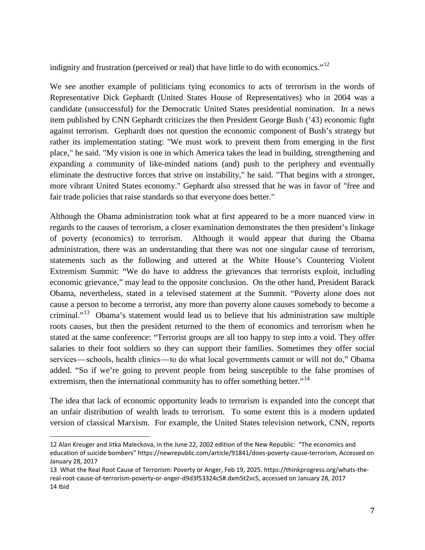indignity and frustration (perceived or real) that have little to do with economics." $^{12}$  $^{12}$  $^{12}$ 

We see another example of politicians tying economics to acts of terrorism in the words of Representative Dick Gephardt (United States House of Representatives) who in 2004 was a candidate (unsuccessful) for the Democratic United States presidential nomination. In a news item published by CNN Gephardt criticizes the then President George Bush ('43) economic fight against terrorism. Gephardt does not question the economic component of Bush's strategy but rather its implementation stating: "We must work to prevent them from emerging in the first place," he said. "My vision is one in which America takes the lead in building, strengthening and expanding a community of like-minded nations (and) push to the periphery and eventually eliminate the destructive forces that strive on instability," he said. "That begins with a stronger, more vibrant United States economy." Gephardt also stressed that he was in favor of "free and fair trade policies that raise standards so that everyone does better."

Although the Obama administration took what at first appeared to be a more nuanced view in regards to the causes of terrorism, a closer examination demonstrates the then president's linkage of poverty (economics) to terrorism. Although it would appear that during the Obama administration, there was an understanding that there was not one singular cause of terrorism, statements such as the following and uttered at the White House's Countering Violent Extremism Summit: "We do have to address the grievances that terrorists exploit, including economic grievance," may lead to the opposite conclusion. On the other hand, President Barack Obama, nevertheless, stated in a televised [statement](http://www.whitehouse.gov/the-press-office/2015/02/18/remarks-president-closing-summit-countering-violent-extremism) at the Summit. "Poverty alone does not cause a person to become a terrorist, any more than poverty alone causes somebody to become a criminal."<sup>[13](#page-7-1)</sup> Obama's statement would lead us to believe that his administration saw multiple roots causes, but then the president returned to the them of economics and terrorism when he stated at the same conference: "Terrorist groups are all too happy to step into a void. They offer salaries to their foot soldiers so they can support their families. Sometimes they offer social services—schools, health clinics—to do what local governments cannot or will not do," Obama added. "So if we're going to prevent people from being susceptible to the false promises of extremism, then the international community has to offer something better."<sup>[14](#page-7-2)</sup>

The idea that lack of economic opportunity leads to terrorism is expanded into the concept that an unfair distribution of wealth leads to terrorism. To some extent this is a modern updated version of classical Marxism. For example, the United States television network, CNN, reports

<span id="page-7-0"></span>i<br>I 12 Alan Kreuger and Jitka Maleckova, in the June 22, 2002 edition of the New Republic: "The economics and education of suicide bombers[" https://newrepublic.com/article/91841/does-poverty-cause-terrorism,](https://newrepublic.com/article/91841/does-poverty-cause-terrorism) Accessed on January 28, 2017

<span id="page-7-2"></span><span id="page-7-1"></span><sup>13</sup> What the Real Root Cause of Terrorism: Poverty or Anger, Feb 19, 2025. [https://thinkprogress.org/whats-the](https://thinkprogress.org/whats-the-real-root-cause-of-terrorism-poverty-or-anger-d9d3f53324c5#.dxm5t2vc5)[real-root-cause-of-terrorism-poverty-or-anger-d9d3f53324c5#.dxm5t2vc5,](https://thinkprogress.org/whats-the-real-root-cause-of-terrorism-poverty-or-anger-d9d3f53324c5#.dxm5t2vc5) accessed on January 28, 2017 14 Ibid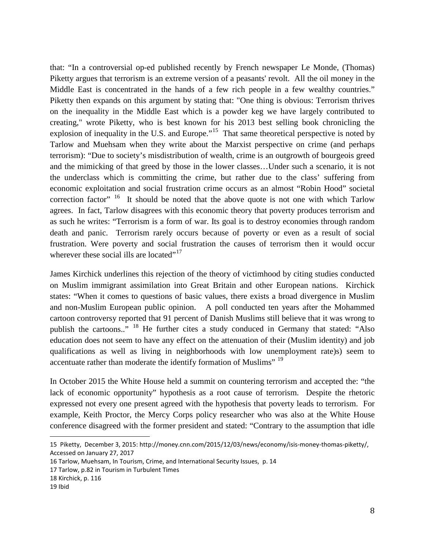that: "In a controversial [op-ed](http://piketty.blog.lemonde.fr/2015/11/24/clamping-down-with-law-and-order-will-not-be-enough/) published recently by French newspaper Le Monde, (Thomas) Piketty argues that terrorism is an extreme version of a peasants' revolt. All the oil money in the Middle East is concentrated in the hands of a few rich people in a few wealthy countries." Piketty then expands on this argument by stating that: "One thing is obvious: Terrorism thrives on the inequality in the Middle East which is a powder keg we have largely contributed to creating," wrote Piketty, who is best known for his 2013 best selling book chronicling the explosion of inequality in the U.S. and Europe."<sup>15</sup> That same theoretical perspective is noted by Tarlow and Muehsam when they write about the Marxist perspective on crime (and perhaps terrorism): "Due to society's misdistribution of wealth, crime is an outgrowth of bourgeois greed and the mimicking of that greed by those in the lower classes…Under such a scenario, it is not the underclass which is committing the crime, but rather due to the class' suffering from economic exploitation and social frustration crime occurs as an almost "Robin Hood" societal correction factor" <sup>16</sup> It should be noted that the above quote is not one with which Tarlow agrees. In fact, Tarlow disagrees with this economic theory that poverty produces terrorism and as such he writes: "Terrorism is a form of war. Its goal is to destroy economies through random death and panic. Terrorism rarely occurs because of poverty or even as a result of social frustration. Were poverty and social frustration the causes of terrorism then it would occur wherever these social ills are located"<sup>[17](#page-8-2)</sup>

James Kirchick underlines this rejection of the theory of victimhood by citing studies conducted on Muslim immigrant assimilation into Great Britain and other European nations. Kirchick states: "When it comes to questions of basic values, there exists a broad divergence in Muslim and non-Muslim European public opinion. A poll conducted ten years after the Mohammed cartoon controversy reported that 91 percent of Danish Muslims still believe that it was wrong to publish the cartoons.." [18](#page-8-3) He further cites a study conduced in Germany that stated: "Also education does not seem to have any effect on the attenuation of their (Muslim identity) and job qualifications as well as living in neighborhoods with low unemployment rate)s) seem to accentuate rather than moderate the identify formation of Muslims" [19](#page-8-4)

In October 2015 the White House held a summit on countering terrorism and accepted the: "the lack of economic opportunity" hypothesis as a root cause of terrorism. Despite the rhetoric expressed not every one present agreed with the hypothesis that poverty leads to terrorism. For example, Keith Proctor, the Mercy Corps policy researcher who was also at the White House conference disagreed with the former president and stated: "Contrary to the assumption that idle

<span id="page-8-0"></span>i<br>I 15 Piketty, December 3, 2015: [http://money.cnn.com/2015/12/03/news/economy/isis-money-thomas-piketty/,](http://money.cnn.com/2015/12/03/news/economy/isis-money-thomas-piketty/) Accessed on January 27, 2017

<span id="page-8-1"></span><sup>16</sup> Tarlow, Muehsam, In Tourism, Crime, and International Security Issues, p. 14

<span id="page-8-2"></span><sup>17</sup> Tarlow, p.82 in Tourism in Turbulent Times

<span id="page-8-3"></span><sup>18</sup> Kirchick, p. 116

<span id="page-8-4"></span><sup>19</sup> Ibid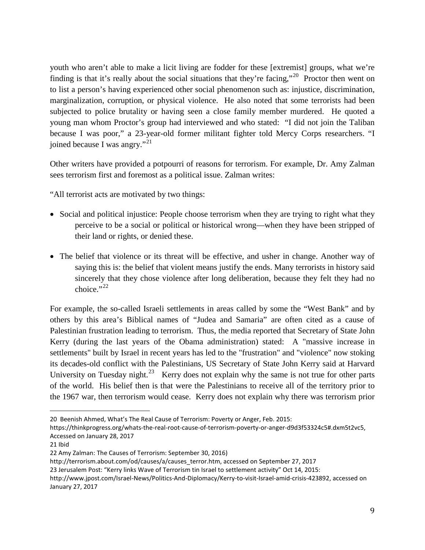youth who aren't able to make a licit living are fodder for these [extremist] groups, what we're finding is that it's really about the social situations that they're facing,"<sup>[20](#page-9-0)</sup> Proctor then went on to list a person's having experienced other social phenomenon such as: injustice, discrimination, marginalization, corruption, or physical violence. He also noted that some terrorists had been subjected to police brutality or having seen a close family member murdered. He quoted a young man whom Proctor's group had interviewed and who stated: "I did not join the Taliban because I was poor," a 23-year-old former militant fighter told Mercy Corps researchers. "I joined because I was angry."<sup>[21](#page-9-1)</sup>

Other writers have provided a potpourri of reasons for terrorism. For example, Dr. Amy Zalman sees terrorism first and foremost as a political issue. Zalman writes:

"All terrorist acts are motivated by two things:

- Social and political injustice: People choose terrorism when they are trying to right what they perceive to be a social or political or historical wrong—when they have been stripped of their land or rights, or denied these.
- The belief that violence or its threat will be effective, and usher in change. Another way of saying this is: the belief that violent means justify the ends. Many terrorists in history said sincerely that they chose violence after long deliberation, because they felt they had no choice." $^{22}$  $^{22}$  $^{22}$

For example, the so-called Israeli settlements in areas called by some the "West Bank" and by others by this area's Biblical names of "Judea and Samaria" are often cited as a cause of Palestinian frustration leading to terrorism. Thus, the media reported that Secretary of State John Kerry (during the last years of the Obama administration) stated: A "massive increase in settlements" built by Israel in recent years has led to the "frustration" and "violence" now stoking its decades-old conflict with the Palestinians, US Secretary of State John Kerry said at Harvard University on Tuesday night.<sup>[23](#page-9-3)</sup> Kerry does not explain why the same is not true for other parts of the world. His belief then is that were the Palestinians to receive all of the territory prior to the 1967 war, then terrorism would cease. Kerry does not explain why there was terrorism prior

<span id="page-9-0"></span>i<br>I 20 Beenish Ahmed, What's The Real Cause of Terrorism: Poverty or Anger, Feb. 2015:

[https://thinkprogress.org/whats-the-real-root-cause-of-terrorism-poverty-or-anger-d9d3f53324c5#.dxm5t2vc5,](https://thinkprogress.org/whats-the-real-root-cause-of-terrorism-poverty-or-anger-d9d3f53324c5#.dxm5t2vc5)  Accessed on January 28, 2017

<span id="page-9-1"></span><sup>21</sup> Ibid

<span id="page-9-2"></span><sup>22</sup> Amy Zalman: The Causes of Terrorism: September 30, 2016)

[http://terrorism.about.com/od/causes/a/causes\\_terror.htm,](http://terrorism.about.com/od/causes/a/causes_terror.htm) accessed on September 27, 2017

<span id="page-9-3"></span><sup>23</sup> Jerusalem Post: "Kerry links Wave of Terrorism tin Israel to settlement activity" Oct 14, 2015:

[http://www.jpost.com/Israel-News/Politics-And-Diplomacy/Kerry-to-visit-Israel-amid-crisis-423892,](http://www.jpost.com/Israel-News/Politics-And-Diplomacy/Kerry-to-visit-Israel-amid-crisis-423892) accessed on January 27, 2017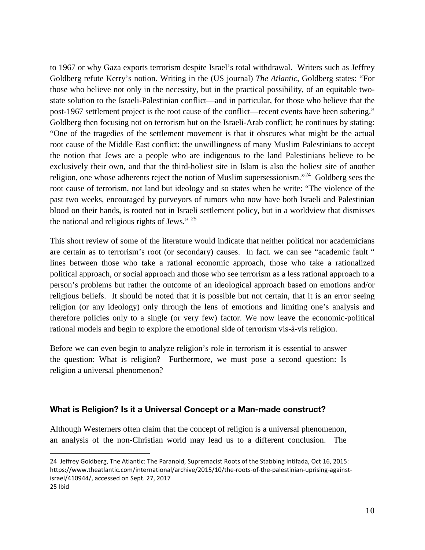to 1967 or why Gaza exports terrorism despite Israel's total withdrawal. Writers such as Jeffrey Goldberg refute Kerry's notion. Writing in the (US journal) *The Atlantic*, Goldberg states: "For those who believe not only in the necessity, but in the practical possibility, of an equitable twostate solution to the Israeli-Palestinian conflict—and in particular, for those who believe that the post-1967 settlement project is the root cause of the conflict—recent events have been sobering." Goldberg then focusing not on terrorism but on the Israeli-Arab conflict; he continues by stating: "One of the tragedies of the settlement movement is that it obscures what might be the actual root cause of the Middle East conflict: the unwillingness of many Muslim Palestinians to accept the notion that Jews are a people who are indigenous to the land Palestinians believe to be exclusively their own, and that the third-holiest site in Islam is also the holiest site of another religion, one whose adherents reject the notion of Muslim supersessionism."<sup>[24](#page-10-0)</sup> Goldberg sees the root cause of terrorism, not land but ideology and so states when he write: "The violence of the past two weeks, encouraged by purveyors of rumors who now have both Israeli and Palestinian blood on their hands, is rooted not in Israeli settlement policy, but in a worldview that dismisses the national and religious rights of Jews." [25](#page-10-1)

This short review of some of the literature would indicate that neither political nor academicians are certain as to terrorism's root (or secondary) causes. In fact. we can see "academic fault " lines between those who take a rational economic approach, those who take a rationalized political approach, or social approach and those who see terrorism as a less rational approach to a person's problems but rather the outcome of an ideological approach based on emotions and/or religious beliefs. It should be noted that it is possible but not certain, that it is an error seeing religion (or any ideology) only through the lens of emotions and limiting one's analysis and therefore policies only to a single (or very few) factor. We now leave the economic-political rational models and begin to explore the emotional side of terrorism vis-à-vis religion.

Before we can even begin to analyze religion's role in terrorism it is essential to answer the question: What is religion? Furthermore, we must pose a second question: Is religion a universal phenomenon?

# **What is Religion? Is it a Universal Concept or a Man-made construct?**

Although Westerners often claim that the concept of religion is a universal phenomenon, an analysis of the non-Christian world may lead us to a different conclusion. The

<span id="page-10-1"></span><span id="page-10-0"></span>i<br>I 24 Jeffrey Goldberg, The Atlantic: The Paranoid, Supremacist Roots of the Stabbing Intifada, Oct 16, 2015: [https://www.theatlantic.com/international/archive/2015/10/the-roots-of-the-palestinian-uprising-against](https://www.theatlantic.com/international/archive/2015/10/the-roots-of-the-palestinian-uprising-against-israel/410944/)[israel/410944/,](https://www.theatlantic.com/international/archive/2015/10/the-roots-of-the-palestinian-uprising-against-israel/410944/) accessed on Sept. 27, 2017 25 Ibid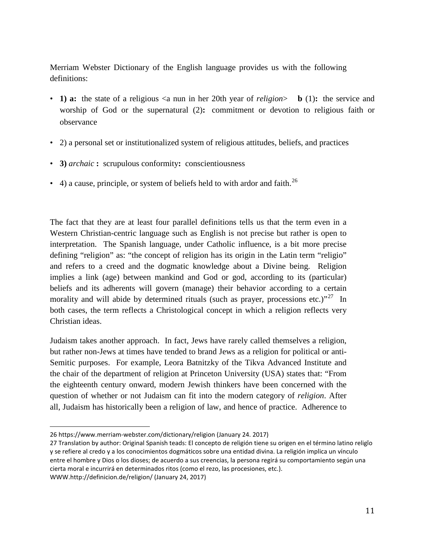Merriam Webster Dictionary of the English language provides us with the following definitions:

- **1) a:** the state of a [religious](https://www.merriam-webster.com/dictionary/religious)  $\langle a \rangle$  nun in her 20th year of *religion* b (1): the service and worship of God or the supernatural (2)**:** commitment or devotion to religious faith or observance
- 2) a personal set or institutionalized system of religious attitudes, beliefs, and practices
- **3)** *archaic* **:** scrupulous conformity**:** [conscientiousness](https://www.merriam-webster.com/dictionary/conscientiousness)
- 4) a cause, principle, or system of beliefs held to with ardor and faith.<sup>[26](#page-11-0)</sup>

The fact that they are at least four parallel definitions tells us that the term even in a Western Christian-centric language such as English is not precise but rather is open to interpretation. The Spanish language, under Catholic influence, is a bit more precise defining "religion" as: "the concept of religion has its origin in the Latin term "religio" and refers to a creed and the dogmatic knowledge about a Divine being. Religion implies a link (age) between mankind and God or god, according to its (particular) beliefs and its adherents will govern (manage) their behavior according to a certain morality and will abide by determined rituals (such as prayer, processions etc.)<sup>"27</sup> In both cases, the term reflects a Christological concept in which a religion reflects very Christian ideas.

Judaism takes another approach. In fact, Jews have rarely called themselves a religion, but rather non-Jews at times have tended to brand Jews as a religion for political or anti-Semitic purposes. For example, Leora Batnitzky of the Tikva Advanced Institute and the chair of the department of religion at Princeton University (USA) states that: "From the eighteenth century onward, modern Jewish thinkers have been concerned with the question of whether or not Judaism can fit into the modern category of *religion*. After all, Judaism has historically been a religion of law, and hence of practice. Adherence to

i<br>I 26 <https://www.merriam-webster.com/dictionary/religion> (January 24. 2017)

<span id="page-11-1"></span><span id="page-11-0"></span><sup>27</sup> Translation by author: Original Spanish teads: El concepto de religión tiene su origen en el término latino religĭo y se refiere al credo y a los conocimientos dogmáticos sobre una entidad divina. La religión implica un vínculo entre el hombre y Dios o los dioses; de acuerdo a sus creencias, la persona regirá su comportamiento según una cierta moral e incurrirá en determinados ritos (como el rezo, las procesiones, etc.). [WWW.http://definicion.de/religion/](http://www.http/definicion.de/religion/) (January 24, 2017)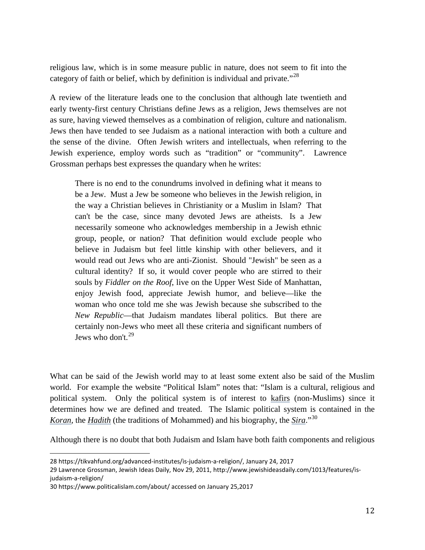religious law, which is in some measure public in nature, does not seem to fit into the category of faith or belief, which by definition is individual and private."<sup>28</sup>

A review of the literature leads one to the conclusion that although late twentieth and early twenty-first century Christians define Jews as a religion, Jews themselves are not as sure, having viewed themselves as a combination of religion, culture and nationalism. Jews then have tended to see Judaism as a national interaction with both a culture and the sense of the divine. Often Jewish writers and intellectuals, when referring to the Jewish experience, employ words such as "tradition" or "community". Lawrence Grossman perhaps best expresses the quandary when he writes:

There is no end to the conundrums involved in defining what it means to be a Jew. Must a Jew be someone who believes in the Jewish religion, in the way a Christian believes in Christianity or a Muslim in Islam? That can't be the case, since many devoted Jews are atheists. Is a Jew necessarily someone who acknowledges membership in a Jewish ethnic group, people, or nation? That definition would exclude people who believe in Judaism but feel little kinship with other believers, and it would read out Jews who are anti-Zionist. Should "Jewish" be seen as a cultural identity? If so, it would cover people who are stirred to their souls by *Fiddler on the Roof*, live on the Upper West Side of Manhattan, enjoy Jewish food, appreciate Jewish humor, and believe—like the woman who once told me she was Jewish because she subscribed to the *New Republic*—that Judaism mandates liberal politics. But there are certainly non-Jews who meet all these criteria and significant numbers of Jews who don't. $^{29}$  $^{29}$  $^{29}$ 

What can be said of the Jewish world may to at least some extent also be said of the Muslim world. For example the website "Political Islam" notes that: "Islam is a cultural, religious and political system. Only the political system is of interest to [kafirs](https://www.politicalislam.com/kafir/) (non-Muslims) since it determines how we are defined and treated. The Islamic political system is contained in the *[Koran](https://www.politicalislam.com/product/a-simple-koran/)*, the *[Hadith](https://www.politicalislam.com/product/the-hadith/)* (the traditions of Mohammed) and his biography, the *[Sira](https://www.politicalislam.com/product/the-life-of-mohammed/)*."[30](#page-12-2)

Although there is no doubt that both Judaism and Islam have both faith components and religious

<span id="page-12-0"></span>i<br>I 28 [https://tikvahfund.org/advanced-institutes/is-judaism-a-religion/,](https://tikvahfund.org/advanced-institutes/is-judaism-a-religion/) January 24, 2017

<span id="page-12-1"></span><sup>29</sup> Lawrence Grossman, Jewish Ideas Daily, Nov 29, 2011, http://www.jewishideasdaily.com/1013/features/isjudaism-a-religion/

<span id="page-12-2"></span><sup>30</sup> <https://www.politicalislam.com/about/> accessed on January 25,2017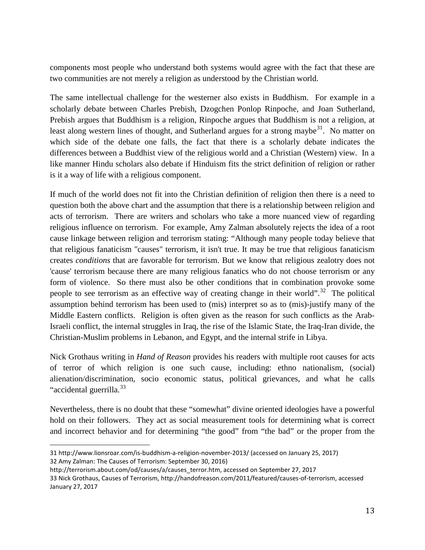components most people who understand both systems would agree with the fact that these are two communities are not merely a religion as understood by the Christian world.

The same intellectual challenge for the westerner also exists in Buddhism. For example in a scholarly debate between Charles Prebish, Dzogchen Ponlop Rinpoche, and Joan Sutherland, Prebish argues that Buddhism is a religion, Rinpoche argues that Buddhism is not a religion, at least along western lines of thought, and Sutherland argues for a strong maybe<sup>[31](#page-13-0)</sup>. No matter on which side of the debate one falls, the fact that there is a scholarly debate indicates the differences between a Buddhist view of the religious world and a Christian (Western) view. In a like manner Hindu scholars also debate if Hinduism fits the strict definition of religion or rather is it a way of life with a religious component.

If much of the world does not fit into the Christian definition of religion then there is a need to question both the above chart and the assumption that there is a relationship between religion and acts of terrorism. There are writers and scholars who take a more nuanced view of regarding religious influence on terrorism. For example, Amy Zalman absolutely rejects the idea of a root cause linkage between religion and terrorism stating: "Although many people today believe that that religious fanaticism "causes" terrorism, it isn't true. It may be true that religious fanaticism creates *conditions* that are favorable for terrorism. But we know that religious zealotry does not 'cause' terrorism because there are many religious fanatics who do not choose terrorism or any form of violence. So there must also be other conditions that in combination provoke some people to see terrorism as an effective way of creating change in their world".<sup>32</sup> The political assumption behind terrorism has been used to (mis) interpret so as to (mis)-justify many of the Middle Eastern conflicts. Religion is often given as the reason for such conflicts as the Arab-Israeli conflict, the internal struggles in Iraq, the rise of the Islamic State, the Iraq-Iran divide, the Christian-Muslim problems in Lebanon, and Egypt, and the internal strife in Libya.

Nick Grothaus writing in *Hand of Reason* provides his readers with multiple root causes for acts of terror of which religion is one such cause, including: ethno nationalism, (social) alienation/discrimination, socio economic status, political grievances, and what he calls "accidental guerrilla.<sup>[33](#page-13-2)</sup>

Nevertheless, there is no doubt that these "somewhat" divine oriented ideologies have a powerful hold on their followers. They act as social measurement tools for determining what is correct and incorrect behavior and for determining "the good" from "the bad" or the proper from the

<span id="page-13-0"></span>i<br>I 31 <http://www.lionsroar.com/is-buddhism-a-religion-november-2013/> (accessed on January 25, 2017) 32 Amy Zalman: The Causes of Terrorism: September 30, 2016)

<span id="page-13-2"></span><span id="page-13-1"></span>[http://terrorism.about.com/od/causes/a/causes\\_terror.htm,](http://terrorism.about.com/od/causes/a/causes_terror.htm) accessed on September 27, 2017 33 Nick Grothaus, Causes of Terrorism, [http://handofreason.com/2011/featured/causes-of-terrorism,](http://handofreason.com/2011/featured/causes-of-terrorism) accessed January 27, 2017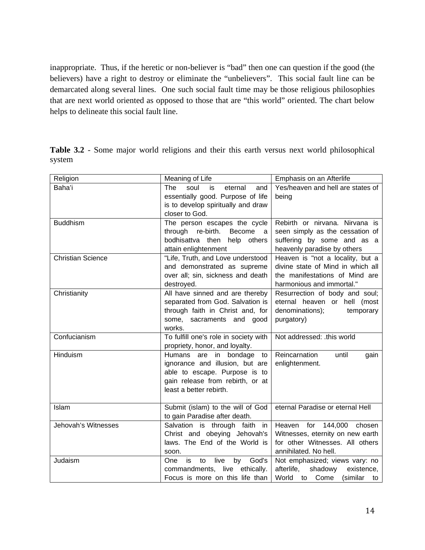inappropriate. Thus, if the heretic or non-believer is "bad" then one can question if the good (the believers) have a right to destroy or eliminate the "unbelievers". This social fault line can be demarcated along several lines. One such social fault time may be those religious philosophies that are next world oriented as opposed to those that are "this world" oriented. The chart below helps to delineate this social fault line.

**Table 3.2** - Some major world religions and their this earth versus next world philosophical system

| Religion                 | Meaning of Life                                                                                                                                                | Emphasis on an Afterlife                                                                                                             |
|--------------------------|----------------------------------------------------------------------------------------------------------------------------------------------------------------|--------------------------------------------------------------------------------------------------------------------------------------|
| Baha'i                   | <b>The</b><br>soul<br>and<br>is<br>eternal<br>essentially good. Purpose of life<br>is to develop spiritually and draw<br>closer to God.                        | Yes/heaven and hell are states of<br>being                                                                                           |
| <b>Buddhism</b>          | The person escapes the cycle<br>Become<br>through re-birth.<br>- a<br>bodhisattva then<br>help others<br>attain enlightenment                                  | Rebirth or nirvana. Nirvana is<br>seen simply as the cessation of<br>suffering by some and as a<br>heavenly paradise by others       |
| <b>Christian Science</b> | "Life, Truth, and Love understood<br>and demonstrated as supreme<br>over all; sin, sickness and death<br>destroyed.                                            | Heaven is "not a locality, but a<br>divine state of Mind in which all<br>the manifestations of Mind are<br>harmonious and immortal." |
| Christianity             | All have sinned and are thereby<br>separated from God. Salvation is<br>through faith in Christ and, for<br>some, sacraments and good<br>works.                 | Resurrection of body and soul;<br>eternal heaven or hell (most<br>denominations);<br>temporary<br>purgatory)                         |
| Confucianism             | To fulfill one's role in society with<br>propriety, honor, and loyalty.                                                                                        | Not addressed: .this world                                                                                                           |
| Hinduism                 | Humans are in bondage<br>to<br>ignorance and illusion, but are<br>able to escape. Purpose is to<br>gain release from rebirth, or at<br>least a better rebirth. | Reincarnation<br>until<br>gain<br>enlightenment.                                                                                     |
| Islam                    | Submit (islam) to the will of God<br>to gain Paradise after death.                                                                                             | eternal Paradise or eternal Hell                                                                                                     |
| Jehovah's Witnesses      | Salvation is through faith in<br>Christ and obeying Jehovah's<br>laws. The End of the World is<br>soon.                                                        | Heaven for 144,000<br>chosen<br>Witnesses, eternity on new earth<br>for other Witnesses. All others<br>annihilated. No hell.         |
| Judaism                  | is<br>God's<br>live<br>by<br>One<br>to<br>commandments, live<br>ethically.<br>Focus is more on this life than                                                  | Not emphasized; views vary: no<br>shadowy<br>afterlife,<br>existence,<br>World<br>Come<br>(similar<br>to<br>to                       |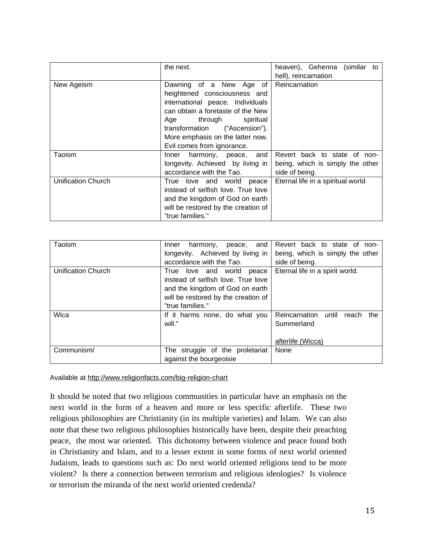|                           | the next.                           | heaven), Gehenna<br>(similar<br>to |
|---------------------------|-------------------------------------|------------------------------------|
|                           |                                     | hell), reincarnation               |
| New Ageism                | Dawning of a New Age of             | Reincarnation                      |
|                           | heightened consciousness and        |                                    |
|                           | international peace. Individuals    |                                    |
|                           | can obtain a foretaste of the New   |                                    |
|                           | through spiritual<br>Age            |                                    |
|                           | transformation ("Ascension").       |                                    |
|                           | More emphasis on the latter now.    |                                    |
|                           | Evil comes from ignorance.          |                                    |
| Taoism                    | harmony, peace, and<br>Inner        | Revert back to state of non-       |
|                           | longevity. Achieved by living in    | being, which is simply the other   |
|                           | accordance with the Tao.            | side of being.                     |
| <b>Unification Church</b> | True love and world peace           | Eternal life in a spiritual world  |
|                           | instead of selfish love. True love  |                                    |
|                           | and the kingdom of God on earth     |                                    |
|                           | will be restored by the creation of |                                    |
|                           | "true families."                    |                                    |

| Taoism             | and<br>harmony,<br>Inner<br>peace,<br>longevity. Achieved by living in<br>accordance with the Tao.                                                               | Revert back to state of<br>non-<br>being, which is simply the other<br>side of being. |
|--------------------|------------------------------------------------------------------------------------------------------------------------------------------------------------------|---------------------------------------------------------------------------------------|
| Unification Church | True love and world<br>peace<br>instead of selfish love. True love<br>and the kingdom of God on earth<br>will be restored by the creation of<br>"true families." | Eternal life in a spirit world.                                                       |
| Wica               | If it harms none, do what you<br>will."                                                                                                                          | Reincarnation<br>until<br>the<br>reach<br>Summerland<br>afterlife (Wicca)             |
| Communism/         | The struggle of the proletariat<br>against the bourgeoisie                                                                                                       | None                                                                                  |

Available at<http://www.religionfacts.com/big-religion-chart>

It should be noted that two religious communities in particular have an emphasis on the next world in the form of a heaven and more or less specific afterlife. These two religious philosophies are Christianity (in its multiple varieties) and Islam. We can also note that these two religious philosophies historically have been, despite their preaching peace, the most war oriented. This dichotomy between violence and peace found both in Christianity and Islam, and to a lesser extent in some forms of next world oriented Judaism, leads to questions such as: Do next world oriented religions tend to be more violent? Is there a connection between terrorism and religious ideologies? Is violence or terrorism the miranda of the next world oriented credenda?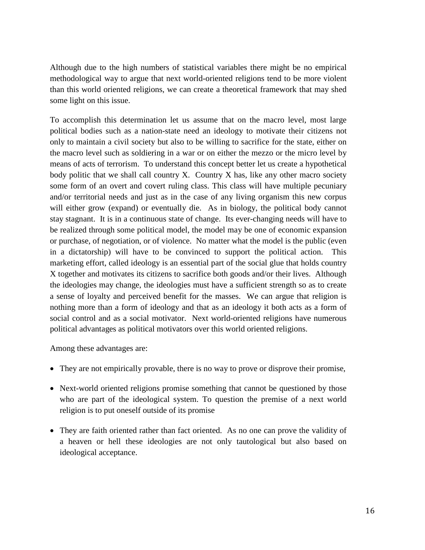Although due to the high numbers of statistical variables there might be no empirical methodological way to argue that next world-oriented religions tend to be more violent than this world oriented religions, we can create a theoretical framework that may shed some light on this issue.

To accomplish this determination let us assume that on the macro level, most large political bodies such as a nation-state need an ideology to motivate their citizens not only to maintain a civil society but also to be willing to sacrifice for the state, either on the macro level such as soldiering in a war or on either the mezzo or the micro level by means of acts of terrorism. To understand this concept better let us create a hypothetical body politic that we shall call country X. Country X has, like any other macro society some form of an overt and covert ruling class. This class will have multiple pecuniary and/or territorial needs and just as in the case of any living organism this new corpus will either grow (expand) or eventually die. As in biology, the political body cannot stay stagnant. It is in a continuous state of change. Its ever-changing needs will have to be realized through some political model, the model may be one of economic expansion or purchase, of negotiation, or of violence. No matter what the model is the public (even in a dictatorship) will have to be convinced to support the political action. This marketing effort, called ideology is an essential part of the social glue that holds country X together and motivates its citizens to sacrifice both goods and/or their lives. Although the ideologies may change, the ideologies must have a sufficient strength so as to create a sense of loyalty and perceived benefit for the masses. We can argue that religion is nothing more than a form of ideology and that as an ideology it both acts as a form of social control and as a social motivator. Next world-oriented religions have numerous political advantages as political motivators over this world oriented religions.

Among these advantages are:

- They are not empirically provable, there is no way to prove or disprove their promise,
- Next-world oriented religions promise something that cannot be questioned by those who are part of the ideological system. To question the premise of a next world religion is to put oneself outside of its promise
- They are faith oriented rather than fact oriented. As no one can prove the validity of a heaven or hell these ideologies are not only tautological but also based on ideological acceptance.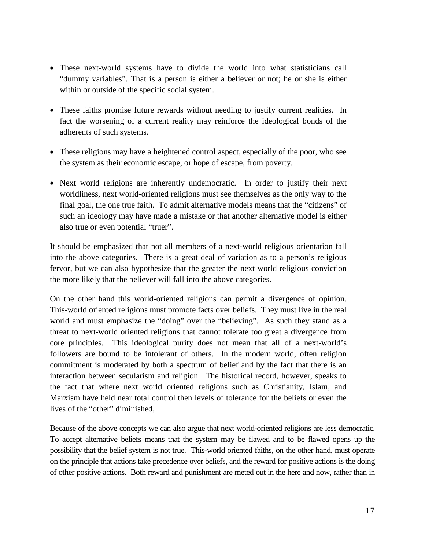- These next-world systems have to divide the world into what statisticians call "dummy variables". That is a person is either a believer or not; he or she is either within or outside of the specific social system.
- These faiths promise future rewards without needing to justify current realities. In fact the worsening of a current reality may reinforce the ideological bonds of the adherents of such systems.
- These religions may have a heightened control aspect, especially of the poor, who see the system as their economic escape, or hope of escape, from poverty.
- Next world religions are inherently undemocratic. In order to justify their next worldliness, next world-oriented religions must see themselves as the only way to the final goal, the one true faith. To admit alternative models means that the "citizens" of such an ideology may have made a mistake or that another alternative model is either also true or even potential "truer".

It should be emphasized that not all members of a next-world religious orientation fall into the above categories. There is a great deal of variation as to a person's religious fervor, but we can also hypothesize that the greater the next world religious conviction the more likely that the believer will fall into the above categories.

On the other hand this world-oriented religions can permit a divergence of opinion. This-world oriented religions must promote facts over beliefs. They must live in the real world and must emphasize the "doing" over the "believing". As such they stand as a threat to next-world oriented religions that cannot tolerate too great a divergence from core principles. This ideological purity does not mean that all of a next-world's followers are bound to be intolerant of others. In the modern world, often religion commitment is moderated by both a spectrum of belief and by the fact that there is an interaction between secularism and religion. The historical record, however, speaks to the fact that where next world oriented religions such as Christianity, Islam, and Marxism have held near total control then levels of tolerance for the beliefs or even the lives of the "other" diminished,

Because of the above concepts we can also argue that next world-oriented religions are less democratic. To accept alternative beliefs means that the system may be flawed and to be flawed opens up the possibility that the belief system is not true. This-world oriented faiths, on the other hand, must operate on the principle that actions take precedence over beliefs, and the reward for positive actions is the doing of other positive actions. Both reward and punishment are meted out in the here and now, rather than in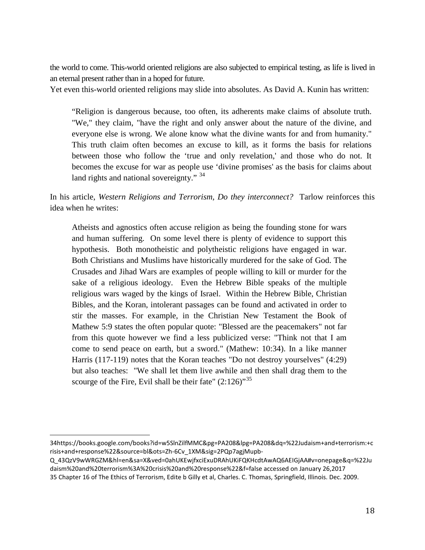the world to come. This-world oriented religions are also subjected to empirical testing, as life is lived in an eternal present rather than in a hoped for future.

Yet even this-world oriented religions may slide into absolutes. As David A. Kunin has written:

"Religion is dangerous because, too often, its adherents make claims of absolute truth. "We," they claim, "have the right and only answer about the nature of the divine, and everyone else is wrong. We alone know what the divine wants for and from humanity." This truth claim often becomes an excuse to kill, as it forms the basis for relations between those who follow the 'true and only revelation,' and those who do not. It becomes the excuse for war as people use 'divine promises' as the basis for claims about land rights and national sovereignty." <sup>[34](#page-18-0)</sup>

In his article, *Western Religions and Terrorism, Do they interconnect?* Tarlow reinforces this idea when he writes:

Atheists and agnostics often accuse religion as being the founding stone for wars and human suffering. On some level there is plenty of evidence to support this hypothesis. Both monotheistic and polytheistic religions have engaged in war. Both Christians and Muslims have historically murdered for the sake of God. The Crusades and Jihad Wars are examples of people willing to kill or murder for the sake of a religious ideology. Even the Hebrew Bible speaks of the multiple religious wars waged by the kings of Israel. Within the Hebrew Bible, Christian Bibles, and the Koran, intolerant passages can be found and activated in order to stir the masses. For example, in the Christian New Testament the Book of Mathew 5:9 states the often popular quote: "Blessed are the peacemakers" not far from this quote however we find a less publicized verse: "Think not that I am come to send peace on earth, but a sword." (Mathew: 10:34). In a like manner Harris (117-119) notes that the Koran teaches "Do not destroy yourselves" (4:29) but also teaches: "We shall let them live awhile and then shall drag them to the scourge of the Fire, Evil shall be their fate"  $(2.126)$ <sup>[35](#page-18-1)</sup>

<span id="page-18-0"></span>i<br>I [34https://books.google.com/books?id=w5SlnZilfMMC&pg=PA208&lpg=PA208&dq=%22Judaism+and+terrorism:+c](https://books.google.com/books?id=w5SlnZilfMMC&pg=PA208&lpg=PA208&dq=%22Judaism+and+terrorism:+crisis+and+response%22&source=bl&ots=Zh-6Cv_1XM&sig=2PQp7agjMupb-Q_43QzV9wWRGZM&hl=en&sa=X&ved=0ahUKEwjfxciExuDRAhUKiFQKHcdtAwAQ6AEIGjAA#v=onepage&q=%22Judaism%2) [risis+and+response%22&source=bl&ots=Zh-6Cv\\_1XM&sig=2PQp7agjMupb-](https://books.google.com/books?id=w5SlnZilfMMC&pg=PA208&lpg=PA208&dq=%22Judaism+and+terrorism:+crisis+and+response%22&source=bl&ots=Zh-6Cv_1XM&sig=2PQp7agjMupb-Q_43QzV9wWRGZM&hl=en&sa=X&ved=0ahUKEwjfxciExuDRAhUKiFQKHcdtAwAQ6AEIGjAA#v=onepage&q=%22Judaism%2)

[Q\\_43QzV9wWRGZM&hl=en&sa=X&ved=0ahUKEwjfxciExuDRAhUKiFQKHcdtAwAQ6AEIGjAA#v=onepage&q=%22Ju](https://books.google.com/books?id=w5SlnZilfMMC&pg=PA208&lpg=PA208&dq=%22Judaism+and+terrorism:+crisis+and+response%22&source=bl&ots=Zh-6Cv_1XM&sig=2PQp7agjMupb-Q_43QzV9wWRGZM&hl=en&sa=X&ved=0ahUKEwjfxciExuDRAhUKiFQKHcdtAwAQ6AEIGjAA#v=onepage&q=%22Judaism%2) [daism%20and%20terrorism%3A%20crisis%20and%20response%22&f=false](https://books.google.com/books?id=w5SlnZilfMMC&pg=PA208&lpg=PA208&dq=%22Judaism+and+terrorism:+crisis+and+response%22&source=bl&ots=Zh-6Cv_1XM&sig=2PQp7agjMupb-Q_43QzV9wWRGZM&hl=en&sa=X&ved=0ahUKEwjfxciExuDRAhUKiFQKHcdtAwAQ6AEIGjAA#v=onepage&q=%22Judaism%2) accessed on January 26,2017

<span id="page-18-1"></span><sup>35</sup> Chapter 16 of The Ethics of Terrorism, Edite b Gilly et al, Charles. C. Thomas, Springfield, Illinois. Dec. 2009.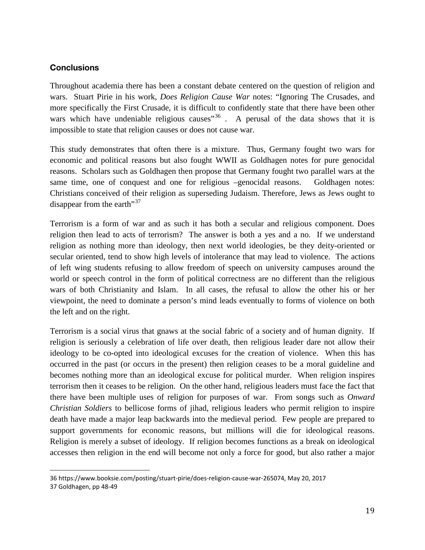# **Conclusions**

Throughout academia there has been a constant debate centered on the question of religion and wars. Stuart Pirie in his work, *Does Religion Cause War* notes: "Ignoring The Crusades, and more specifically the First Crusade, it is difficult to confidently state that there have been other wars which have undeniable religious causes<sup> $36$ </sup>. A perusal of the data shows that it is impossible to state that religion causes or does not cause war.

This study demonstrates that often there is a mixture. Thus, Germany fought two wars for economic and political reasons but also fought WWII as Goldhagen notes for pure genocidal reasons. Scholars such as Goldhagen then propose that Germany fought two parallel wars at the same time, one of conquest and one for religious –genocidal reasons. Goldhagen notes: Christians conceived of their religion as superseding Judaism. Therefore, Jews as Jews ought to disappear from the earth"<sup>[37](#page-19-1)</sup>

Terrorism is a form of war and as such it has both a secular and religious component. Does religion then lead to acts of terrorism? The answer is both a yes and a no. If we understand religion as nothing more than ideology, then next world ideologies, be they deity-oriented or secular oriented, tend to show high levels of intolerance that may lead to violence. The actions of left wing students refusing to allow freedom of speech on university campuses around the world or speech control in the form of political correctness are no different than the religious wars of both Christianity and Islam. In all cases, the refusal to allow the other his or her viewpoint, the need to dominate a person's mind leads eventually to forms of violence on both the left and on the right.

Terrorism is a social virus that gnaws at the social fabric of a society and of human dignity. If religion is seriously a celebration of life over death, then religious leader dare not allow their ideology to be co-opted into ideological excuses for the creation of violence. When this has occurred in the past (or occurs in the present) then religion ceases to be a moral guideline and becomes nothing more than an ideological excuse for political murder. When religion inspires terrorism then it ceases to be religion. On the other hand, religious leaders must face the fact that there have been multiple uses of religion for purposes of war. From songs such as *Onward Christian Soldiers* to bellicose forms of jihad, religious leaders who permit religion to inspire death have made a major leap backwards into the medieval period. Few people are prepared to support governments for economic reasons, but millions will die for ideological reasons. Religion is merely a subset of ideology. If religion becomes functions as a break on ideological accesses then religion in the end will become not only a force for good, but also rather a major

<span id="page-19-1"></span><span id="page-19-0"></span>i<br>I 36 [https://www.booksie.com/posting/stuart-pirie/does-religion-cause-war-265074,](https://www.booksie.com/posting/stuart-pirie/does-religion-cause-war-265074) May 20, 2017 37 Goldhagen, pp 48-49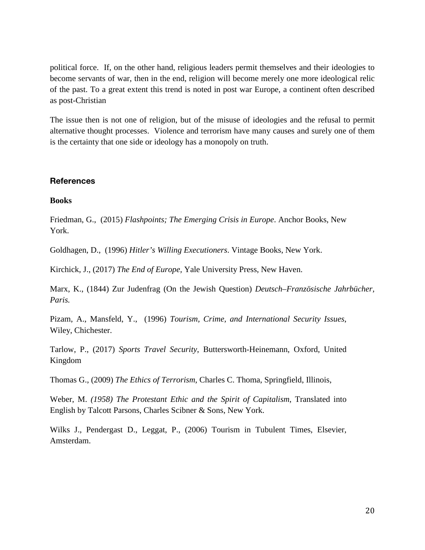political force. If, on the other hand, religious leaders permit themselves and their ideologies to become servants of war, then in the end, religion will become merely one more ideological relic of the past. To a great extent this trend is noted in post war Europe, a continent often described as post-Christian

The issue then is not one of religion, but of the misuse of ideologies and the refusal to permit alternative thought processes. Violence and terrorism have many causes and surely one of them is the certainty that one side or ideology has a monopoly on truth.

#### **References**

#### **Books**

Friedman, G., (2015) *Flashpoints; The Emerging Crisis in Europe*. Anchor Books, New York.

Goldhagen, D., (1996) *Hitler's Willing Executioners*. Vintage Books, New York.

Kirchick, J., (2017) *The End of Europe,* Yale University Press, New Haven.

Marx, K., (1844) Zur Judenfrag (On the Jewish Question) *Deutsch–Französische Jahrbücher, Paris.* 

Pizam, A., Mansfeld, Y., (1996) *Tourism, Crime, and International Security Issues*, Wiley, Chichester.

Tarlow, P., (2017) *Sports Travel Security*, Buttersworth-Heinemann, Oxford, United Kingdom

Thomas G., (2009) *The Ethics of Terrorism*, Charles C. Thoma, Springfield, Illinois,

Weber, M. *(1958) The Protestant Ethic and the Spirit of Capitalism*, Translated into English by Talcott Parsons, Charles Scibner & Sons, New York.

Wilks J., Pendergast D., Leggat, P., (2006) Tourism in Tubulent Times, Elsevier, Amsterdam.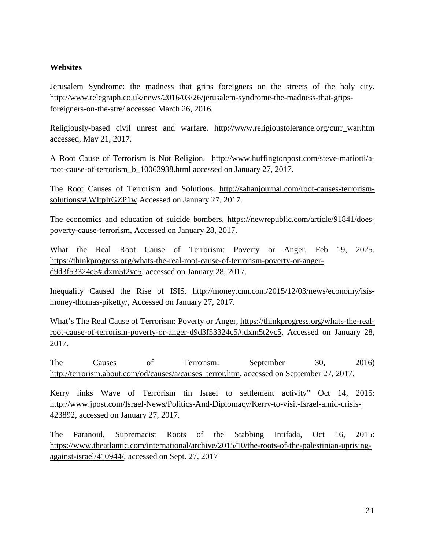### **Websites**

Jerusalem Syndrome: the madness that grips foreigners on the streets of the holy city. http://www.telegraph.co.uk/news/2016/03/26/jerusalem-syndrome-the-madness-that-gripsforeigners-on-the-stre/ accessed March 26, 2016.

Religiously-based civil unrest and warfare. [http://www.religioustolerance.org/curr\\_war.htm](http://www.religioustolerance.org/curr_war.htm) accessed, May 21, 2017.

A Root Cause of Terrorism is Not Religion. [http://www.huffingtonpost.com/steve-mariotti/a](http://www.huffingtonpost.com/steve-mariotti/a-root-cause-of-terrorism_b_10063938.html)[root-cause-of-terrorism\\_b\\_10063938.html](http://www.huffingtonpost.com/steve-mariotti/a-root-cause-of-terrorism_b_10063938.html) accessed on January 27, 2017.

The Root Causes of Terrorism and Solutions. [http://sahanjournal.com/root-causes-terrorism](http://sahanjournal.com/root-causes-terrorism-solutions/#.WItpIrGZP1w)[solutions/#.WItpIrGZP1w](http://sahanjournal.com/root-causes-terrorism-solutions/#.WItpIrGZP1w) Accessed on January 27, 2017.

The economics and education of suicide bombers. [https://newrepublic.com/article/91841/does](https://newrepublic.com/article/91841/does-poverty-cause-terrorism)[poverty-cause-terrorism,](https://newrepublic.com/article/91841/does-poverty-cause-terrorism) Accessed on January 28, 2017.

What the Real Root Cause of Terrorism: Poverty or Anger, Feb 19, 2025. [https://thinkprogress.org/whats-the-real-root-cause-of-terrorism-poverty-or-anger](https://thinkprogress.org/whats-the-real-root-cause-of-terrorism-poverty-or-anger-d9d3f53324c5#.dxm5t2vc5)[d9d3f53324c5#.dxm5t2vc5,](https://thinkprogress.org/whats-the-real-root-cause-of-terrorism-poverty-or-anger-d9d3f53324c5#.dxm5t2vc5) accessed on January 28, 2017.

Inequality Caused the Rise of ISIS. [http://money.cnn.com/2015/12/03/news/economy/isis](http://money.cnn.com/2015/12/03/news/economy/isis-money-thomas-piketty/)[money-thomas-piketty/,](http://money.cnn.com/2015/12/03/news/economy/isis-money-thomas-piketty/) Accessed on January 27, 2017.

What's The Real Cause of Terrorism: Poverty or Anger, [https://thinkprogress.org/whats-the-real](https://thinkprogress.org/whats-the-real-root-cause-of-terrorism-poverty-or-anger-d9d3f53324c5#.dxm5t2vc5)[root-cause-of-terrorism-poverty-or-anger-d9d3f53324c5#.dxm5t2vc5,](https://thinkprogress.org/whats-the-real-root-cause-of-terrorism-poverty-or-anger-d9d3f53324c5#.dxm5t2vc5) Accessed on January 28, 2017.

The Causes of Terrorism: September 30, 2016) [http://terrorism.about.com/od/causes/a/causes\\_terror.htm,](http://terrorism.about.com/od/causes/a/causes_terror.htm) accessed on September 27, 2017.

Kerry links Wave of Terrorism tin Israel to settlement activity" Oct 14, 2015: [http://www.jpost.com/Israel-News/Politics-And-Diplomacy/Kerry-to-visit-Israel-amid-crisis-](http://www.jpost.com/Israel-News/Politics-And-Diplomacy/Kerry-to-visit-Israel-amid-crisis-423892)[423892,](http://www.jpost.com/Israel-News/Politics-And-Diplomacy/Kerry-to-visit-Israel-amid-crisis-423892) accessed on January 27, 2017.

The Paranoid, Supremacist Roots of the Stabbing Intifada, Oct 16, 2015: [https://www.theatlantic.com/international/archive/2015/10/the-roots-of-the-palestinian-uprising](https://www.theatlantic.com/international/archive/2015/10/the-roots-of-the-palestinian-uprising-against-israel/410944/)[against-israel/410944/,](https://www.theatlantic.com/international/archive/2015/10/the-roots-of-the-palestinian-uprising-against-israel/410944/) accessed on Sept. 27, 2017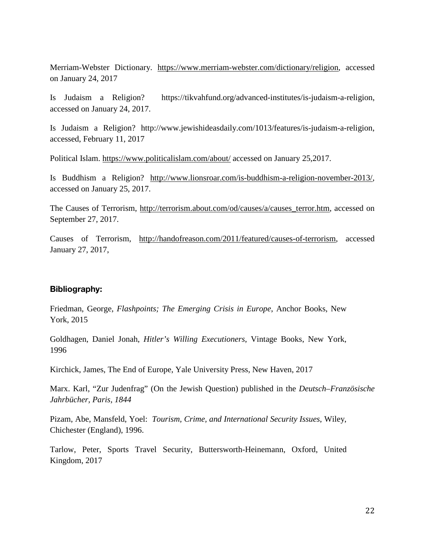Merriam-Webster Dictionary. [https://www.merriam-webster.com/dictionary/religion,](https://www.merriam-webster.com/dictionary/religion) accessed on January 24, 2017

Is Judaism a Religion? https://tikvahfund.org/advanced-institutes/is-judaism-a-religion, accessed on January 24, 2017.

Is Judaism a Religion? http://www.jewishideasdaily.com/1013/features/is-judaism-a-religion, accessed, February 11, 2017

Political Islam.<https://www.politicalislam.com/about/> accessed on January 25,2017.

Is Buddhism a Religion? [http://www.lionsroar.com/is-buddhism-a-religion-november-2013/,](http://www.lionsroar.com/is-buddhism-a-religion-november-2013/) accessed on January 25, 2017.

The Causes of Terrorism, [http://terrorism.about.com/od/causes/a/causes\\_terror.htm,](http://terrorism.about.com/od/causes/a/causes_terror.htm) accessed on September 27, 2017.

Causes of Terrorism, [http://handofreason.com/2011/featured/causes-of-terrorism,](http://handofreason.com/2011/featured/causes-of-terrorism) accessed January 27, 2017,

# **Bibliography:**

Friedman, George, *Flashpoints; The Emerging Crisis in Europe*, Anchor Books, New York, 2015

Goldhagen, Daniel Jonah, *Hitler's Willing Executioners*, Vintage Books, New York, 1996

Kirchick, James, The End of Europe, Yale University Press, New Haven, 2017

Marx. Karl, "Zur Judenfrag" (On the Jewish Question) published in the *Deutsch–Französische Jahrbücher, Paris, 1844*

Pizam, Abe, Mansfeld, Yoel: *Tourism, Crime, and International Security Issues*, Wiley, Chichester (England), 1996.

Tarlow, Peter, Sports Travel Security, Buttersworth-Heinemann, Oxford, United Kingdom, 2017